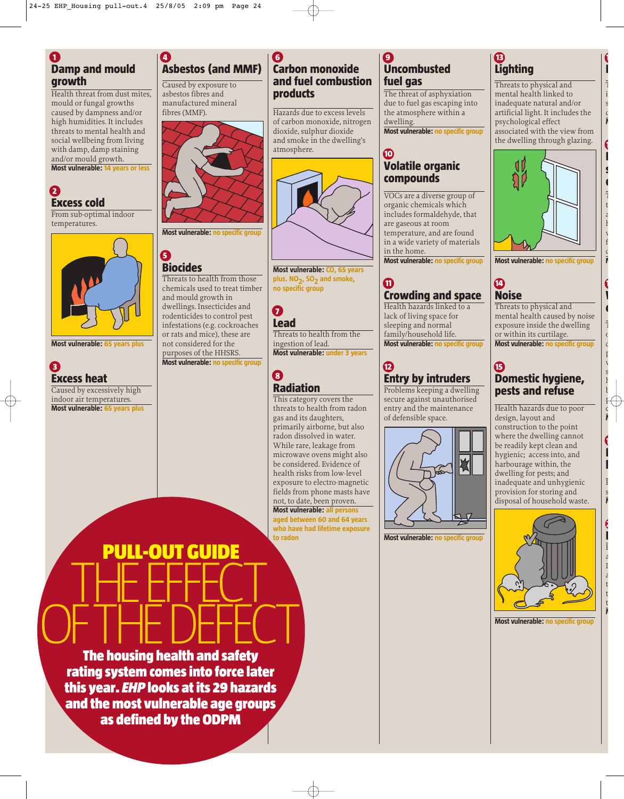**4** 

## **1 Damp and mould growth**

Health threat from dust mites. mould or fungal growths caused by dampness and/or high humidities. It includes threats to mental health and social wellbeing from living with damp, damp staining and/or mould growth.

**Most vulnerable: 14 years or less**

# **2 Excess cold**

From sub-optimal indoor temperatures.



**Most vulnerable: 65 years plus**

**3 Excess heat** Caused by excessively high indoor air temperatures.

**Most vulnerable: 65 years plus**





# **5**

# **Biocides**

Threats to health from those chemicals used to treat timber and mould growth in dwellings. Insecticides and rodenticides to control pest infestations (e.g. cockroaches or rats and mice), these are not considered for the purposes of the HHSRS. **Most vulnerable: no specific group**



**plus. NO2, SO2 and smoke, no specific group** 

#### **7 Lead**

**6** 

**products**

atmosphere.

**Carbon monoxide and fuel combustion**

Hazards due to excess levels of carbon monoxide, nitrogen dioxide, sulphur dioxide and smoke in the dwelling's

Threats to health from the ingestion of lead. **Most vulnerable: under 3 years**

## **8 Radiation**

This category covers the threats to health from radon gas and its daughters, primarily airborne, but also radon dissolved in water. While rare, leakage from microwave ovens might also be considered. Evidence of health risks from low-level exposure to electro-magnetic fields from phone masts have not, to date, been proven. **Most vulnerable: all persons aged between 60 and 64 years who have had lifetime exposure to radon**

#### **9 Uncombusted fuel gas**

The threat of asphyxiation due to fuel gas escaping into the atmosphere within a dwelling.

**Most vulnerable: no specific group**

### **10 Volatile organic compounds**

VOCs are a diverse group of organic chemicals which includes formaldehyde, that are gaseous at room temperature, and are found in a wide variety of materials in the home. **Most vulnerable: no specific group**

## **11 Crowding and space**

Health hazards linked to a lack of living space for sleeping and normal family/household life. **Most vulnerable: no specific group**

# **12 Entry by intruders**

Problems keeping a dwelling secure against unauthorised entry and the maintenance of defensible space.



**Most vulnerable: no specific group**

# **13 Lighting**

Threats to physical and mental health linked to inadequate natural and/or artificial light. It includes the psychological effect associated with the view from the dwelling through glazing.

**1 F** T i s c **M**

**1 P s d** T t a h w f  $\overline{C}$ **M**

**1 W d**

T  $\mathsf{C}$  $\overline{C}$  $\mathbf{r}$ w s h b p c **M**

**1 F b**

F s **M**

**2 F** F a I a t t t **M**



**Most vulnerable: no specific group**

# **14 Noise**

Threats to physical and mental health caused by noise exposure inside the dwelling or within its curtilage. **Most vulnerable: no specific group**

## **15 Domestic hygiene, pests and refuse**

Health hazards due to poor design, layout and construction to the point where the dwelling cannot be readily kept clean and hygienic; access into, and harbourage within, the dwelling for pests; and inadequate and unhygienic provision for storing and disposal of household waste.



**Most vulnerable: no specific group**



OF THE DEFECT **The housing health and safety rating system comes into force later this year.** *EHP* **looks at its 29 hazards and the most vulnerable age groups as defined by the ODPM**